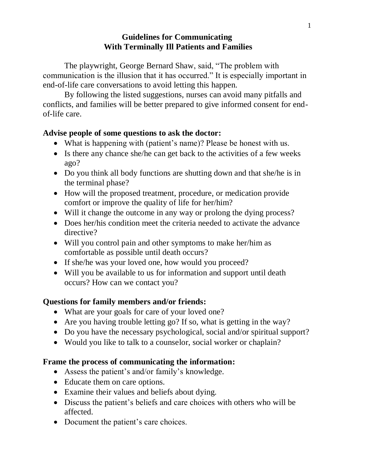### **Guidelines for Communicating With Terminally Ill Patients and Families**

The playwright, George Bernard Shaw, said, "The problem with communication is the illusion that it has occurred." It is especially important in end-of-life care conversations to avoid letting this happen.

By following the listed suggestions, nurses can avoid many pitfalls and conflicts, and families will be better prepared to give informed consent for endof-life care.

#### **Advise people of some questions to ask the doctor:**

- What is happening with (patient's name)? Please be honest with us.
- Is there any chance she/he can get back to the activities of a few weeks ago?
- Do you think all body functions are shutting down and that she/he is in the terminal phase?
- How will the proposed treatment, procedure, or medication provide comfort or improve the quality of life for her/him?
- Will it change the outcome in any way or prolong the dying process?
- Does her/his condition meet the criteria needed to activate the advance directive?
- Will you control pain and other symptoms to make her/him as comfortable as possible until death occurs?
- If she/he was your loved one, how would you proceed?
- Will you be available to us for information and support until death occurs? How can we contact you?

### **Questions for family members and/or friends:**

- What are your goals for care of your loved one?
- Are you having trouble letting go? If so, what is getting in the way?
- Do you have the necessary psychological, social and/or spiritual support?
- Would you like to talk to a counselor, social worker or chaplain?

## **Frame the process of communicating the information:**

- Assess the patient's and/or family's knowledge.
- Educate them on care options.
- Examine their values and beliefs about dying.
- Discuss the patient's beliefs and care choices with others who will be affected.
- Document the patient's care choices.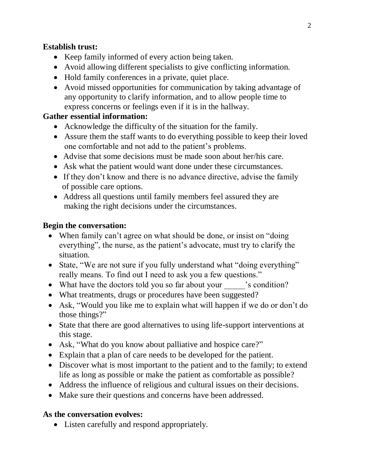## **Establish trust:**

- Keep family informed of every action being taken.
- Avoid allowing different specialists to give conflicting information.
- Hold family conferences in a private, quiet place.
- Avoid missed opportunities for communication by taking advantage of any opportunity to clarify information, and to allow people time to express concerns or feelings even if it is in the hallway.

# **Gather essential information:**

- Acknowledge the difficulty of the situation for the family.
- Assure them the staff wants to do everything possible to keep their loved one comfortable and not add to the patient's problems.
- Advise that some decisions must be made soon about her/his care.
- Ask what the patient would want done under these circumstances.
- If they don't know and there is no advance directive, advise the family of possible care options.
- Address all questions until family members feel assured they are making the right decisions under the circumstances.

# **Begin the conversation:**

- When family can't agree on what should be done, or insist on "doing everything", the nurse, as the patient's advocate, must try to clarify the situation.
- State, "We are not sure if you fully understand what "doing everything" really means. To find out I need to ask you a few questions."
- What have the doctors told you so far about your \_\_\_\_\_\_'s condition?
- What treatments, drugs or procedures have been suggested?
- Ask, "Would you like me to explain what will happen if we do or don't do those things?"
- State that there are good alternatives to using life-support interventions at this stage.
- Ask, "What do you know about palliative and hospice care?"
- Explain that a plan of care needs to be developed for the patient.
- Discover what is most important to the patient and to the family; to extend life as long as possible or make the patient as comfortable as possible?
- Address the influence of religious and cultural issues on their decisions.
- Make sure their questions and concerns have been addressed.

# **As the conversation evolves:**

Listen carefully and respond appropriately.